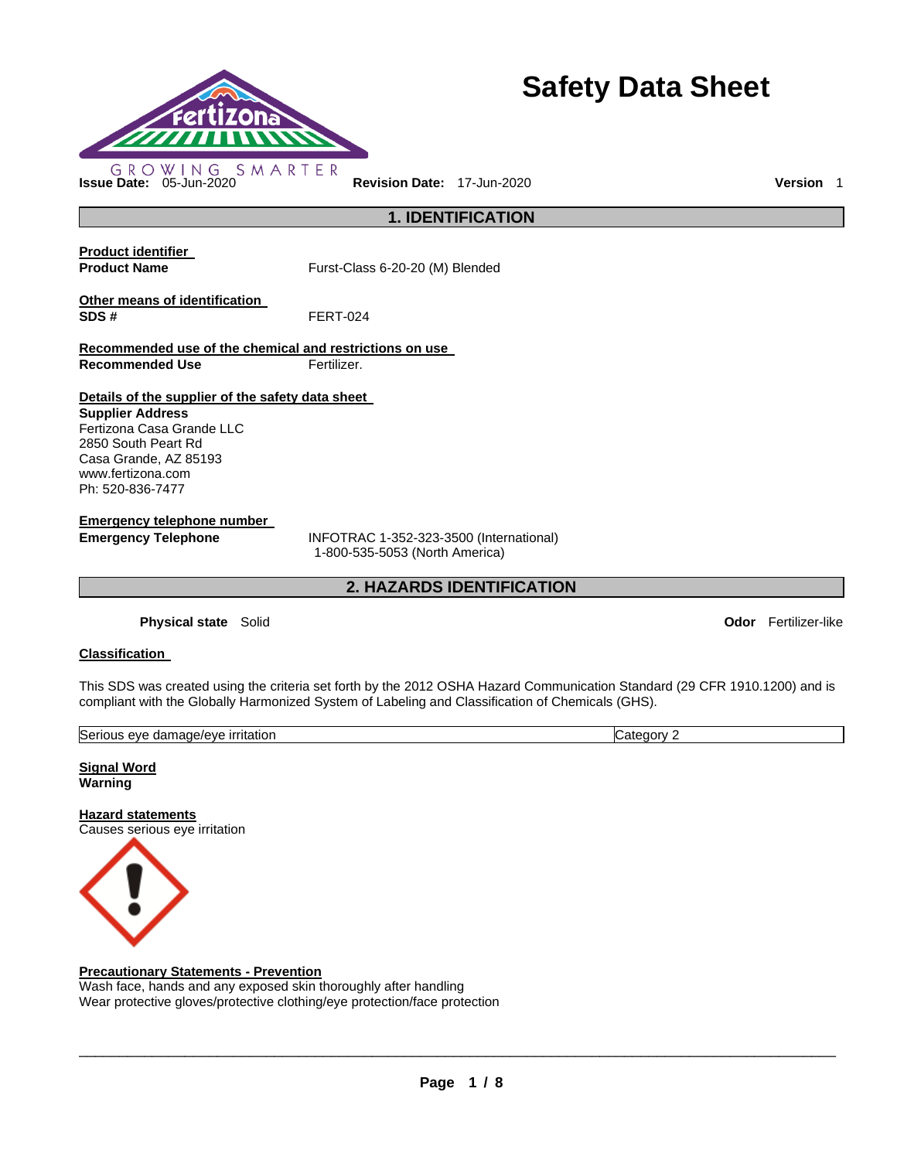

# **Safety Data Sheet**

**1. IDENTIFICATION** 

**Product identifier** 

**Product Name Furst-Class 6-20-20 (M) Blended** 

**Other means of identification SDS #** FERT-024

**Recommended use of the chemical and restrictions on use Recommended Use Fertilizer.** 

# **Details of the supplier of the safety data sheet**

**Supplier Address** Fertizona Casa Grande LLC 2850 South Peart Rd Casa Grande, AZ 85193 www.fertizona.com Ph: 520-836-7477

**Emergency telephone number** 

**Emergency Telephone** INFOTRAC 1-352-323-3500 (International) 1-800-535-5053 (North America)

**2. HAZARDS IDENTIFICATION** 

**Physical state** Solid **Odor** Fertilizer-like

# **Classification**

This SDS was created using the criteria set forth by the 2012 OSHA Hazard Communication Standard (29 CFR 1910.1200) and is compliant with the Globally Harmonized System of Labeling and Classification of Chemicals (GHS).

| Serious<br><b>irritation</b><br>nade/et<br>/eve<br>dam<br>eve<br>$\cdots$<br>. | <br>eaor∿<br>.ate |
|--------------------------------------------------------------------------------|-------------------|
|                                                                                |                   |

**Signal Word Warning** 

**Hazard statements** Causes serious eye irritation



# **Precautionary Statements - Prevention**

Wash face, hands and any exposed skin thoroughly after handling Wear protective gloves/protective clothing/eye protection/face protection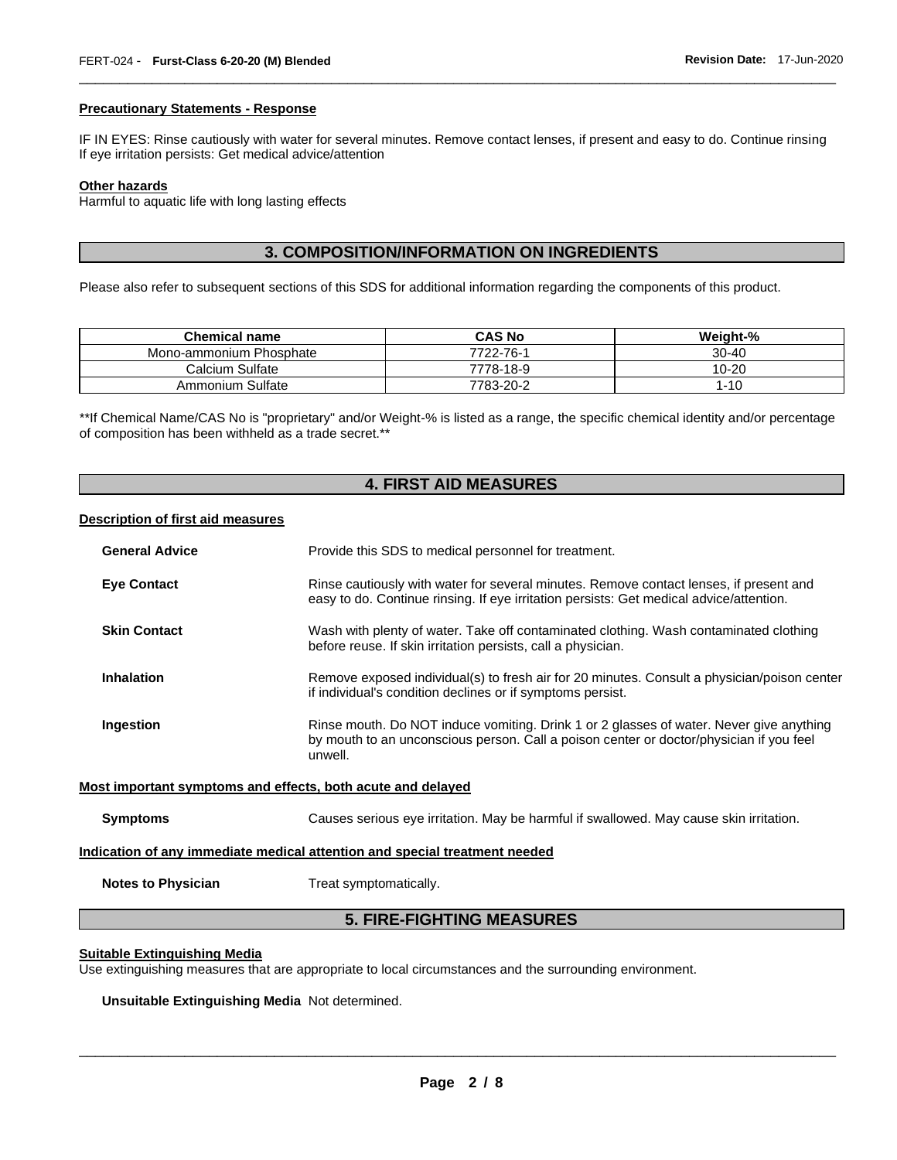#### **Precautionary Statements - Response**

IF IN EYES: Rinse cautiously with water for several minutes. Remove contact lenses, if present and easy to do. Continue rinsing If eye irritation persists: Get medical advice/attention

\_\_\_\_\_\_\_\_\_\_\_\_\_\_\_\_\_\_\_\_\_\_\_\_\_\_\_\_\_\_\_\_\_\_\_\_\_\_\_\_\_\_\_\_\_\_\_\_\_\_\_\_\_\_\_\_\_\_\_\_\_\_\_\_\_\_\_\_\_\_\_\_\_\_\_\_\_\_\_\_\_\_\_\_\_\_\_\_\_\_\_\_\_

#### **Other hazards**

Harmful to aquatic life with long lasting effects

# **3. COMPOSITION/INFORMATION ON INGREDIENTS**

Please also refer to subsequent sections of this SDS for additional information regarding the components of this product.

| <b>Chemical name</b>    | <b>CAS No</b> | Weight-%  |
|-------------------------|---------------|-----------|
| Mono-ammonium Phosphate | 7722-76-1     | 30-40     |
| Calcium Sulfate         | 7778-18-9     | $10 - 20$ |
| Ammonium Sulfate        | 7783-20-2     | l-10      |

\*\*If Chemical Name/CAS No is "proprietary" and/or Weight-% is listed as a range, the specific chemical identity and/or percentage of composition has been withheld as a trade secret.\*\*

# **4. FIRST AID MEASURES**

#### **Description of first aid measures**

| <b>General Advice</b>            | Provide this SDS to medical personnel for treatment.                                                                                                                                          |  |
|----------------------------------|-----------------------------------------------------------------------------------------------------------------------------------------------------------------------------------------------|--|
| <b>Eye Contact</b>               | Rinse cautiously with water for several minutes. Remove contact lenses, if present and<br>easy to do. Continue rinsing. If eye irritation persists: Get medical advice/attention.             |  |
| <b>Skin Contact</b>              | Wash with plenty of water. Take off contaminated clothing. Wash contaminated clothing<br>before reuse. If skin irritation persists, call a physician.                                         |  |
| <b>Inhalation</b>                | Remove exposed individual(s) to fresh air for 20 minutes. Consult a physician/poison center<br>if individual's condition declines or if symptoms persist.                                     |  |
| Ingestion                        | Rinse mouth. Do NOT induce vomiting. Drink 1 or 2 glasses of water. Never give anything<br>by mouth to an unconscious person. Call a poison center or doctor/physician if you feel<br>unwell. |  |
|                                  | Most important symptoms and effects, both acute and delayed                                                                                                                                   |  |
| <b>Symptoms</b>                  | Causes serious eye irritation. May be harmful if swallowed. May cause skin irritation.                                                                                                        |  |
|                                  | <u>Indication of any immediate medical attention and special treatment needed</u>                                                                                                             |  |
| <b>Notes to Physician</b>        | Treat symptomatically.                                                                                                                                                                        |  |
| <b>5. FIRE-FIGHTING MEASURES</b> |                                                                                                                                                                                               |  |

#### **Suitable Extinguishing Media**

Use extinguishing measures that are appropriate to local circumstances and the surrounding environment.

**Unsuitable Extinguishing Media** Not determined.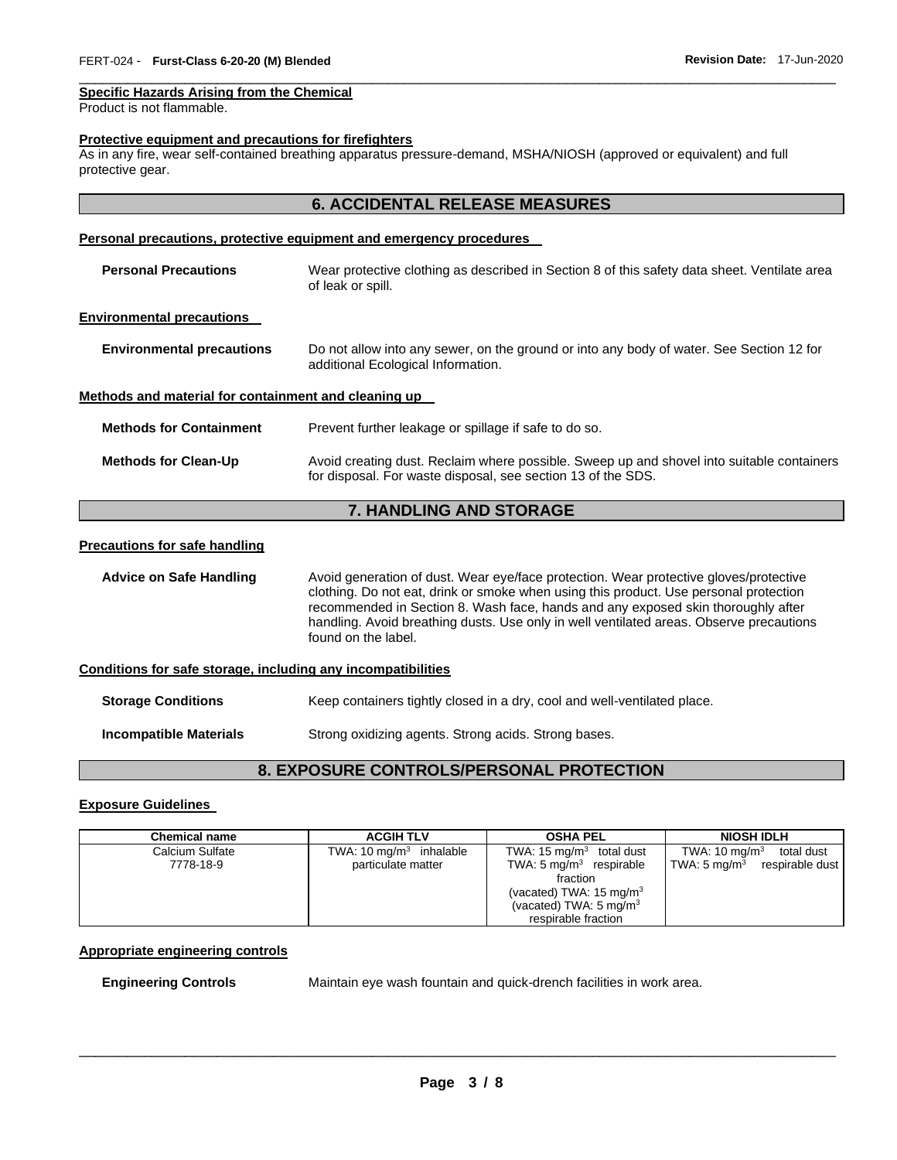#### **Specific Hazards Arising from the Chemical**

Product is not flammable.

#### **Protective equipment and precautions for firefighters**

As in any fire, wear self-contained breathing apparatus pressure-demand, MSHA/NIOSH (approved or equivalent) and full protective gear.

# **6. ACCIDENTAL RELEASE MEASURES**

\_\_\_\_\_\_\_\_\_\_\_\_\_\_\_\_\_\_\_\_\_\_\_\_\_\_\_\_\_\_\_\_\_\_\_\_\_\_\_\_\_\_\_\_\_\_\_\_\_\_\_\_\_\_\_\_\_\_\_\_\_\_\_\_\_\_\_\_\_\_\_\_\_\_\_\_\_\_\_\_\_\_\_\_\_\_\_\_\_\_\_\_\_

#### **Personal precautions, protective equipment and emergency procedures**

| <b>Personal Precautions</b>                          | Wear protective clothing as described in Section 8 of this safety data sheet. Ventilate area<br>of leak or spill.                                         |
|------------------------------------------------------|-----------------------------------------------------------------------------------------------------------------------------------------------------------|
| <b>Environmental precautions</b>                     |                                                                                                                                                           |
| <b>Environmental precautions</b>                     | Do not allow into any sewer, on the ground or into any body of water. See Section 12 for<br>additional Ecological Information.                            |
| Methods and material for containment and cleaning up |                                                                                                                                                           |
| <b>Methods for Containment</b>                       | Prevent further leakage or spillage if safe to do so.                                                                                                     |
| <b>Methods for Clean-Up</b>                          | Avoid creating dust. Reclaim where possible. Sweep up and shovel into suitable containers<br>for disposal. For waste disposal, see section 13 of the SDS. |

# **7. HANDLING AND STORAGE**

#### **Precautions for safe handling**

**Advice on Safe Handling** Avoid generation of dust. Wear eye/face protection. Wear protective gloves/protective clothing. Do not eat, drink or smoke when using this product. Use personal protection recommended in Section 8. Wash face, hands and any exposed skin thoroughly after handling. Avoid breathing dusts. Use only in well ventilated areas. Observe precautions found on the label.

#### **Conditions for safe storage, including any incompatibilities**

**Storage Conditions Keep containers tightly closed in a dry, cool and well-ventilated place.** 

**Incompatible Materials Strong oxidizing agents. Strong acids. Strong bases.** 

# **8. EXPOSURE CONTROLS/PERSONAL PROTECTION**

#### **Exposure Guidelines**

| <b>Chemical name</b> | <b>ACGIH TLV</b>          | <b>OSHA PEL</b>                    | <b>NIOSH IDLH</b>                          |
|----------------------|---------------------------|------------------------------------|--------------------------------------------|
| Calcium Sulfate      | TWA: 10 $mg/m3$ inhalable | TWA: 15 $mg/m3$ total dust         | TWA: 10 mg/m $3$<br>total dust             |
| 7778-18-9            | particulate matter        | TWA: $5 \text{ mg/m}^3$ respirable | TWA: $5 \text{ mg/m}^3$<br>respirable dust |
|                      |                           | fraction                           |                                            |
|                      |                           | (vacated) TWA: $15 \text{ mg/m}^3$ |                                            |
|                      |                           | (vacated) TWA: $5 \text{ mg/m}^3$  |                                            |
|                      |                           | respirable fraction                |                                            |

#### **Appropriate engineering controls**

**Engineering Controls** Maintain eye wash fountain and quick-drench facilities in work area.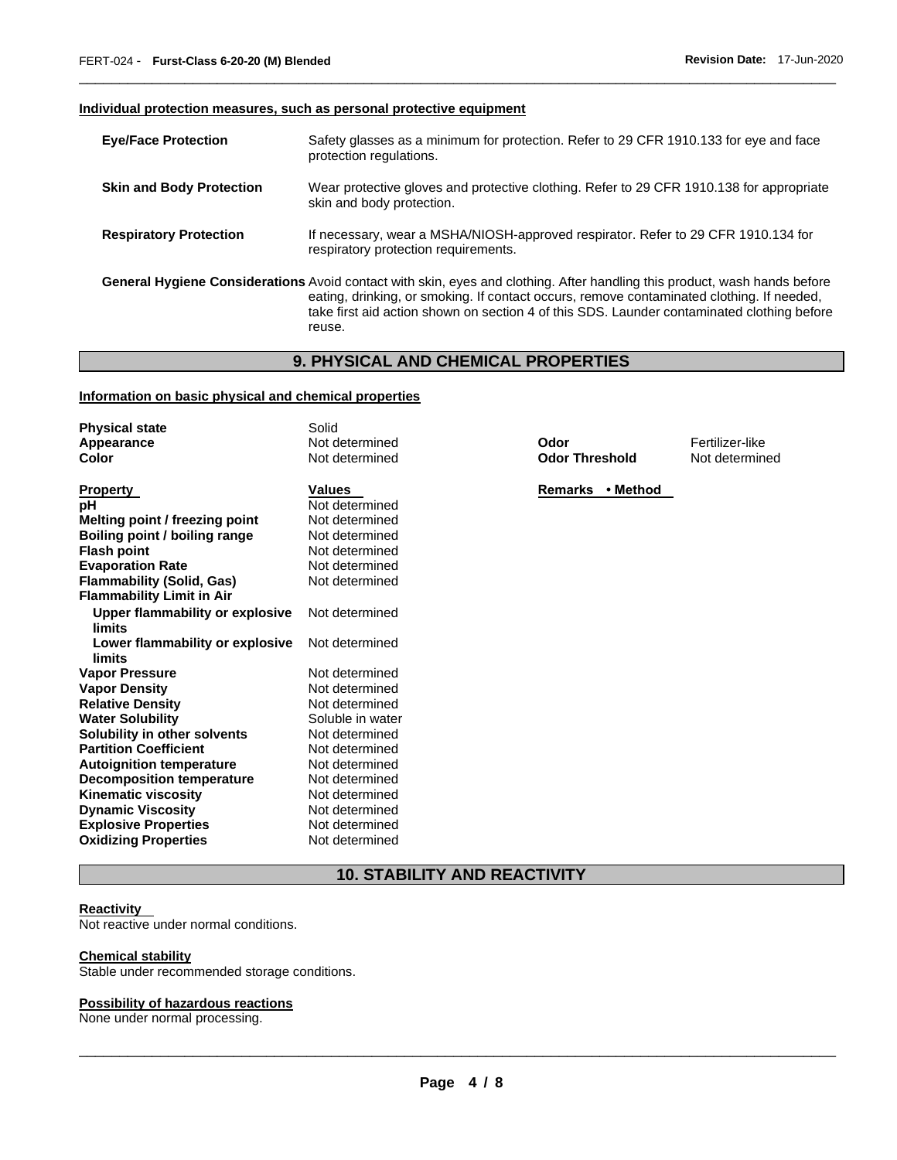#### **Individual protection measures, such as personal protective equipment**

| <b>Eye/Face Protection</b>      | Safety glasses as a minimum for protection. Refer to 29 CFR 1910.133 for eye and face<br>protection regulations.                                                                                                                                                                                                               |
|---------------------------------|--------------------------------------------------------------------------------------------------------------------------------------------------------------------------------------------------------------------------------------------------------------------------------------------------------------------------------|
| <b>Skin and Body Protection</b> | Wear protective gloves and protective clothing. Refer to 29 CFR 1910.138 for appropriate<br>skin and body protection.                                                                                                                                                                                                          |
| <b>Respiratory Protection</b>   | If necessary, wear a MSHA/NIOSH-approved respirator. Refer to 29 CFR 1910.134 for<br>respiratory protection requirements.                                                                                                                                                                                                      |
|                                 | General Hygiene Considerations Avoid contact with skin, eyes and clothing. After handling this product, wash hands before<br>eating, drinking, or smoking. If contact occurs, remove contaminated clothing. If needed,<br>take first aid action shown on section 4 of this SDS. Launder contaminated clothing before<br>reuse. |

\_\_\_\_\_\_\_\_\_\_\_\_\_\_\_\_\_\_\_\_\_\_\_\_\_\_\_\_\_\_\_\_\_\_\_\_\_\_\_\_\_\_\_\_\_\_\_\_\_\_\_\_\_\_\_\_\_\_\_\_\_\_\_\_\_\_\_\_\_\_\_\_\_\_\_\_\_\_\_\_\_\_\_\_\_\_\_\_\_\_\_\_\_

# **9. PHYSICAL AND CHEMICAL PROPERTIES**

# **Information on basic physical and chemical properties**

| <b>Physical state</b>            | Solid            |                       |                 |
|----------------------------------|------------------|-----------------------|-----------------|
| Appearance                       | Not determined   | Odor                  | Fertilizer-like |
| Color                            | Not determined   | <b>Odor Threshold</b> | Not determined  |
| <b>Property</b>                  | <b>Values</b>    | Remarks • Method      |                 |
| рH                               | Not determined   |                       |                 |
| Melting point / freezing point   | Not determined   |                       |                 |
| Boiling point / boiling range    | Not determined   |                       |                 |
| <b>Flash point</b>               | Not determined   |                       |                 |
| <b>Evaporation Rate</b>          | Not determined   |                       |                 |
| <b>Flammability (Solid, Gas)</b> | Not determined   |                       |                 |
| <b>Flammability Limit in Air</b> |                  |                       |                 |
| Upper flammability or explosive  | Not determined   |                       |                 |
| limits                           |                  |                       |                 |
| Lower flammability or explosive  | Not determined   |                       |                 |
| limits                           |                  |                       |                 |
| <b>Vapor Pressure</b>            | Not determined   |                       |                 |
| <b>Vapor Density</b>             | Not determined   |                       |                 |
| <b>Relative Density</b>          | Not determined   |                       |                 |
| <b>Water Solubility</b>          | Soluble in water |                       |                 |
| Solubility in other solvents     | Not determined   |                       |                 |
| <b>Partition Coefficient</b>     | Not determined   |                       |                 |
| <b>Autoignition temperature</b>  | Not determined   |                       |                 |
| Decomposition temperature        | Not determined   |                       |                 |
| <b>Kinematic viscosity</b>       | Not determined   |                       |                 |
| <b>Dynamic Viscosity</b>         | Not determined   |                       |                 |
| <b>Explosive Properties</b>      | Not determined   |                       |                 |
| <b>Oxidizing Properties</b>      | Not determined   |                       |                 |

# **10. STABILITY AND REACTIVITY**

#### **Reactivity**

Not reactive under normal conditions.

#### **Chemical stability**

Stable under recommended storage conditions.

#### **Possibility of hazardous reactions**

None under normal processing.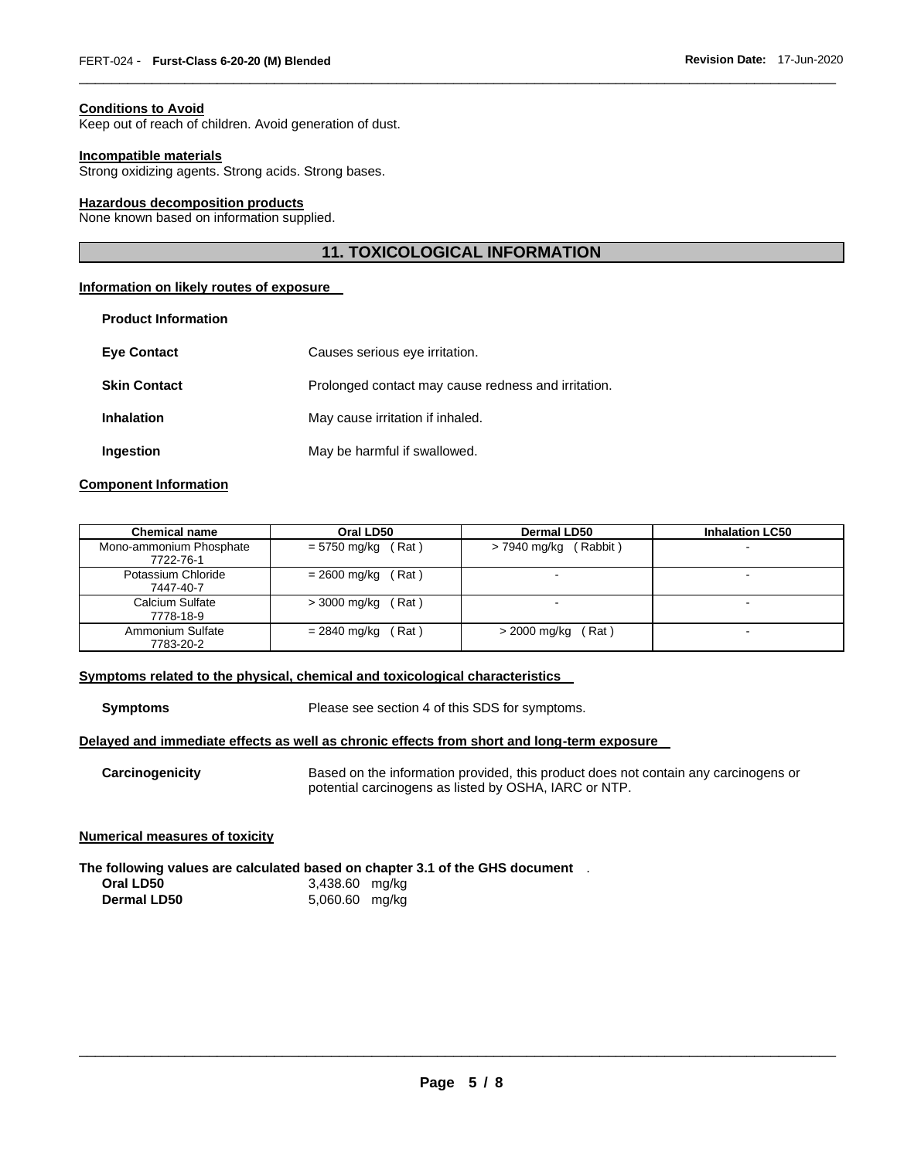#### **Conditions to Avoid**

Keep out of reach of children. Avoid generation of dust.

#### **Incompatible materials**

Strong oxidizing agents. Strong acids. Strong bases.

#### **Hazardous decomposition products**

None known based on information supplied.

# **11. TOXICOLOGICAL INFORMATION**

\_\_\_\_\_\_\_\_\_\_\_\_\_\_\_\_\_\_\_\_\_\_\_\_\_\_\_\_\_\_\_\_\_\_\_\_\_\_\_\_\_\_\_\_\_\_\_\_\_\_\_\_\_\_\_\_\_\_\_\_\_\_\_\_\_\_\_\_\_\_\_\_\_\_\_\_\_\_\_\_\_\_\_\_\_\_\_\_\_\_\_\_\_

#### **Information on likely routes of exposure**

| <b>Product Information</b> |                                                     |
|----------------------------|-----------------------------------------------------|
| <b>Eve Contact</b>         | Causes serious eye irritation.                      |
| <b>Skin Contact</b>        | Prolonged contact may cause redness and irritation. |
| <b>Inhalation</b>          | May cause irritation if inhaled.                    |
| Ingestion                  | May be harmful if swallowed.                        |

# **Component Information**

| <b>Chemical name</b>                 | Oral LD50                 | Dermal LD50              | <b>Inhalation LC50</b> |
|--------------------------------------|---------------------------|--------------------------|------------------------|
| Mono-ammonium Phosphate<br>7722-76-1 | $= 5750$ mg/kg (Rat)      | $> 7940$ mg/kg (Rabbit)  |                        |
| Potassium Chloride<br>7447-40-7      | $= 2600$ mg/kg (Rat)      |                          |                        |
| Calcium Sulfate<br>7778-18-9         | $>$ 3000 mg/kg (Rat)      | $\overline{\phantom{a}}$ |                        |
| Ammonium Sulfate<br>7783-20-2        | (Rat)<br>$= 2840$ mg/kg ( | > 2000 mg/kg<br>(Rat)    | $\blacksquare$         |

#### **Symptoms related to the physical, chemical and toxicological characteristics**

**Symptoms** Please see section 4 of this SDS for symptoms.

### **Delayed and immediate effects as well as chronic effects from short and long-term exposure**

**Carcinogenicity** Based on the information provided, this product does not contain any carcinogens or potential carcinogens as listed by OSHA, IARC or NTP.

#### **Numerical measures of toxicity**

**The following values are calculated based on chapter 3.1 of the GHS document** . **Oral LD50** 3,438.60 mg/kg **Dermal LD50** 5,060.60 mg/kg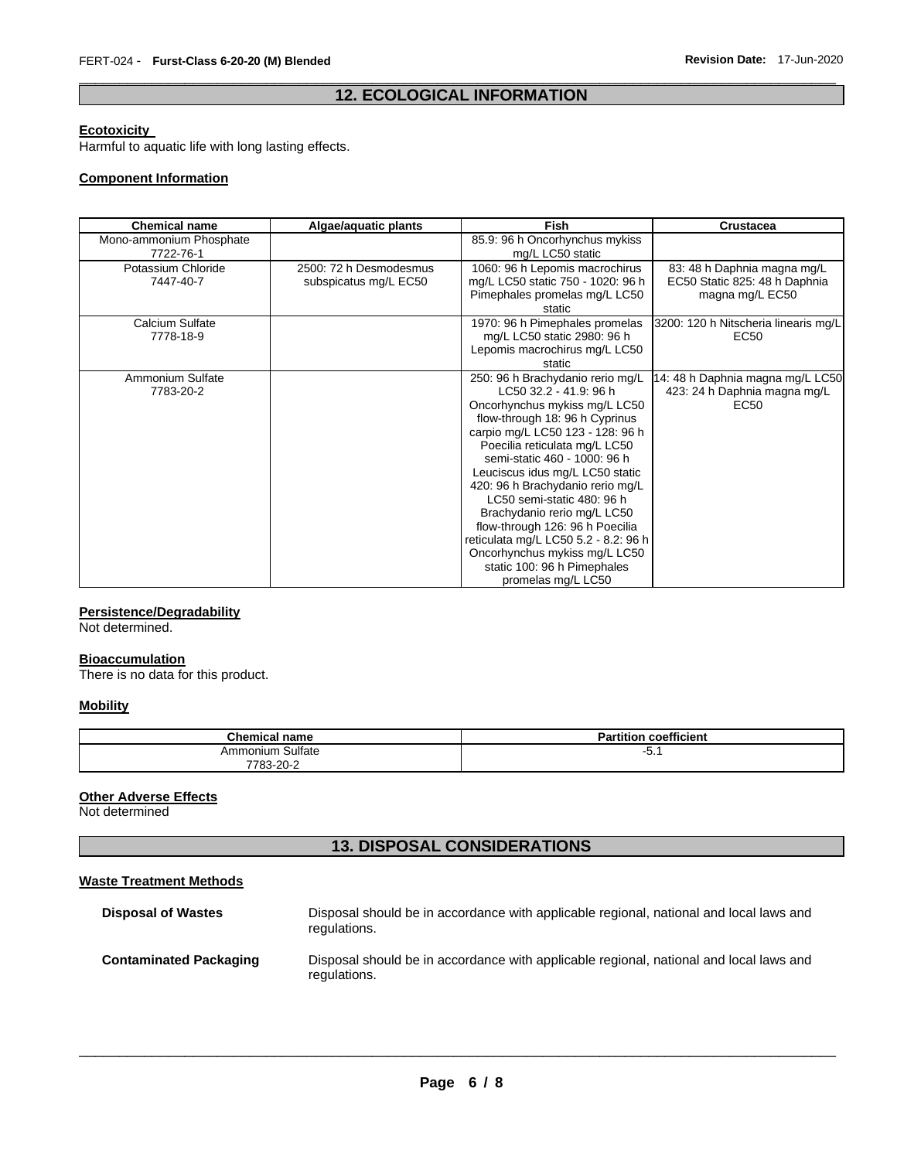# \_\_\_\_\_\_\_\_\_\_\_\_\_\_\_\_\_\_\_\_\_\_\_\_\_\_\_\_\_\_\_\_\_\_\_\_\_\_\_\_\_\_\_\_\_\_\_\_\_\_\_\_\_\_\_\_\_\_\_\_\_\_\_\_\_\_\_\_\_\_\_\_\_\_\_\_\_\_\_\_\_\_\_\_\_\_\_\_\_\_\_\_\_ **12. ECOLOGICAL INFORMATION**

#### **Ecotoxicity**

Harmful to aquatic life with long lasting effects.

#### **Component Information**

| <b>Chemical name</b>                 | Algae/aquatic plants                            | <b>Fish</b>                                                                                                                                                                                                                                                                                                                                                                                                                                                                                                                             | <b>Crustacea</b>                                                                     |
|--------------------------------------|-------------------------------------------------|-----------------------------------------------------------------------------------------------------------------------------------------------------------------------------------------------------------------------------------------------------------------------------------------------------------------------------------------------------------------------------------------------------------------------------------------------------------------------------------------------------------------------------------------|--------------------------------------------------------------------------------------|
| Mono-ammonium Phosphate<br>7722-76-1 |                                                 | 85.9: 96 h Oncorhynchus mykiss<br>mg/L LC50 static                                                                                                                                                                                                                                                                                                                                                                                                                                                                                      |                                                                                      |
| Potassium Chloride<br>7447-40-7      | 2500: 72 h Desmodesmus<br>subspicatus mg/L EC50 | 1060: 96 h Lepomis macrochirus<br>mg/L LC50 static 750 - 1020: 96 h<br>Pimephales promelas mg/L LC50<br>static                                                                                                                                                                                                                                                                                                                                                                                                                          | 83: 48 h Daphnia magna mg/L<br>EC50 Static 825: 48 h Daphnia<br>magna mg/L EC50      |
| Calcium Sulfate<br>7778-18-9         |                                                 | 1970: 96 h Pimephales promelas<br>mg/L LC50 static 2980: 96 h<br>Lepomis macrochirus mg/L LC50<br>static                                                                                                                                                                                                                                                                                                                                                                                                                                | 3200: 120 h Nitscheria linearis mg/L<br>EC50                                         |
| Ammonium Sulfate<br>7783-20-2        |                                                 | 250: 96 h Brachydanio rerio mg/L<br>LC50 32.2 - 41.9: 96 h<br>Oncorhynchus mykiss mg/L LC50<br>flow-through 18: 96 h Cyprinus<br>carpio mg/L LC50 123 - 128: 96 h<br>Poecilia reticulata mg/L LC50<br>semi-static 460 - 1000: 96 h<br>Leuciscus idus mg/L LC50 static<br>420: 96 h Brachydanio rerio mg/L<br>LC50 semi-static 480: 96 h<br>Brachydanio rerio mg/L LC50<br>flow-through 126: 96 h Poecilia<br>reticulata mg/L LC50 5.2 - 8.2: 96 h<br>Oncorhynchus mykiss mg/L LC50<br>static 100: 96 h Pimephales<br>promelas mg/L LC50 | 14: 48 h Daphnia magna mg/L LC50<br>423: 24 h Daphnia magna mg/L<br>EC <sub>50</sub> |

# **Persistence/Degradability**

Not determined.

#### **Bioaccumulation**

There is no data for this product.

### **Mobility**

| <b>Chemical name</b> | $- - -$<br><b>Partition coefficient</b> |
|----------------------|-----------------------------------------|
| Sulfate<br>Ammonium  | −∪.                                     |
| 7783-20-2            |                                         |

## **Other Adverse Effects**

Not determined

# **13. DISPOSAL CONSIDERATIONS**

#### **Waste Treatment Methods**

| <b>Disposal of Wastes</b>     | Disposal should be in accordance with applicable regional, national and local laws and<br>regulations. |
|-------------------------------|--------------------------------------------------------------------------------------------------------|
| <b>Contaminated Packaging</b> | Disposal should be in accordance with applicable regional, national and local laws and<br>regulations. |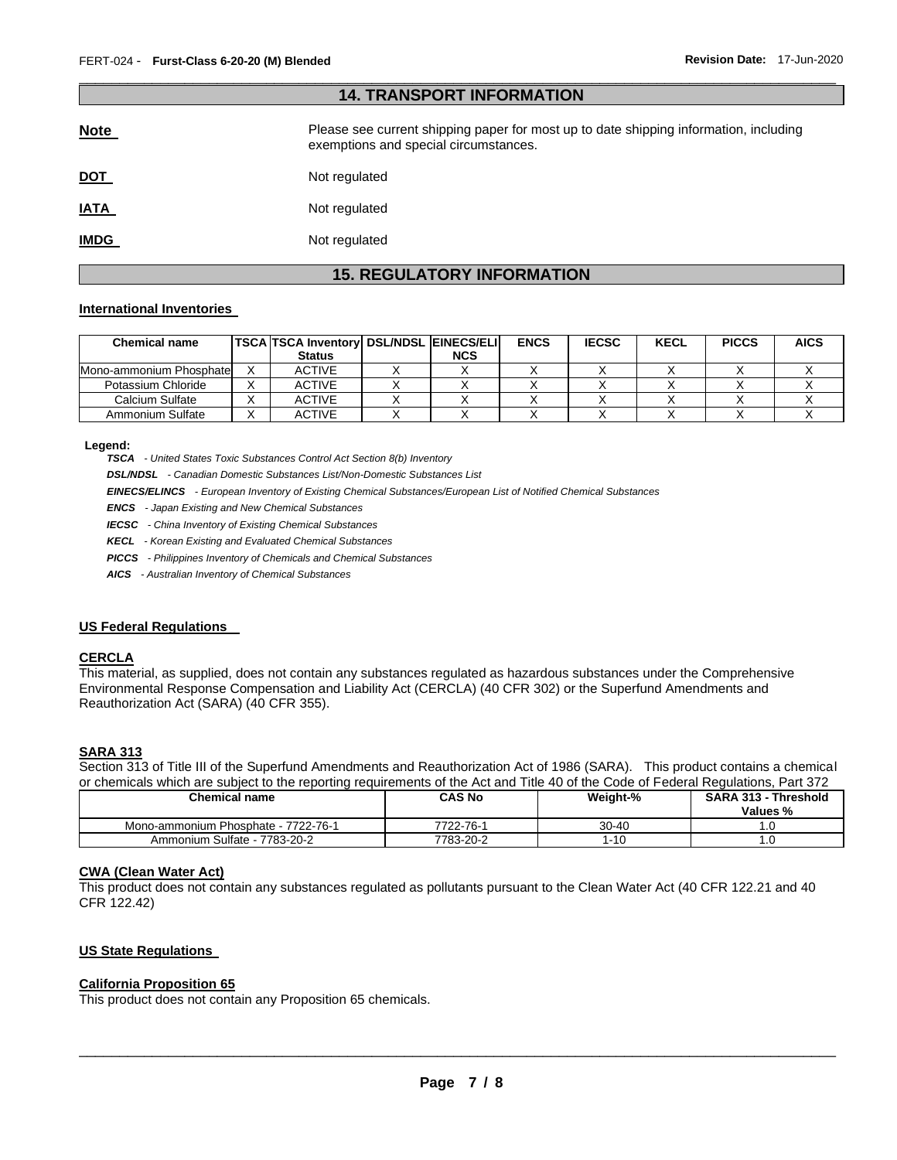| <b>14. TRANSPORT INFORMATION</b> |                                                                                                                                |  |  |  |
|----------------------------------|--------------------------------------------------------------------------------------------------------------------------------|--|--|--|
| <b>Note</b>                      | Please see current shipping paper for most up to date shipping information, including<br>exemptions and special circumstances. |  |  |  |
| <u>DOT</u>                       | Not regulated                                                                                                                  |  |  |  |
| <b>IATA</b>                      | Not regulated                                                                                                                  |  |  |  |
| <b>IMDG</b>                      | Not regulated                                                                                                                  |  |  |  |

\_\_\_\_\_\_\_\_\_\_\_\_\_\_\_\_\_\_\_\_\_\_\_\_\_\_\_\_\_\_\_\_\_\_\_\_\_\_\_\_\_\_\_\_\_\_\_\_\_\_\_\_\_\_\_\_\_\_\_\_\_\_\_\_\_\_\_\_\_\_\_\_\_\_\_\_\_\_\_\_\_\_\_\_\_\_\_\_\_\_\_\_\_

# **15. REGULATORY INFORMATION**

#### **International Inventories**

| <b>Chemical name</b>     | TSCA TSCA Inventory DSL/NDSL EINECS/ELI |            | <b>ENCS</b> | <b>IECSC</b> | <b>KECL</b> | <b>PICCS</b> | <b>AICS</b> |
|--------------------------|-----------------------------------------|------------|-------------|--------------|-------------|--------------|-------------|
|                          | <b>Status</b>                           | <b>NCS</b> |             |              |             |              |             |
| Mono-ammonium Phosphatel | <b>ACTIVE</b>                           |            |             |              |             |              |             |
| Potassium Chloride       | <b>ACTIVE</b>                           |            |             |              |             |              |             |
| Calcium Sulfate          | <b>ACTIVE</b>                           |            |             |              |             |              |             |
| Ammonium Sulfate         | <b>ACTIVE</b>                           |            |             |              |             |              |             |

**Legend:** 

*TSCA - United States Toxic Substances Control Act Section 8(b) Inventory* 

*DSL/NDSL - Canadian Domestic Substances List/Non-Domestic Substances List* 

*EINECS/ELINCS - European Inventory of Existing Chemical Substances/European List of Notified Chemical Substances* 

*ENCS - Japan Existing and New Chemical Substances* 

*IECSC - China Inventory of Existing Chemical Substances* 

*KECL - Korean Existing and Evaluated Chemical Substances* 

*PICCS - Philippines Inventory of Chemicals and Chemical Substances* 

*AICS - Australian Inventory of Chemical Substances* 

#### **US Federal Regulations**

# **CERCLA**

This material, as supplied, does not contain any substances regulated as hazardous substances under the Comprehensive Environmental Response Compensation and Liability Act (CERCLA) (40 CFR 302) or the Superfund Amendments and Reauthorization Act (SARA) (40 CFR 355).

#### **SARA 313**

Section 313 of Title III of the Superfund Amendments and Reauthorization Act of 1986 (SARA). This product contains a chemical or chemicals which are subject to the reporting requirements of the Act and Title 40 of the Code of Federal Regulations, Part 372

| <b>Chemical name</b>                | <b>CAS No</b> | Weight-%  | <b>⊺Threshold</b><br><b>SARA 313 -</b><br>Values % |
|-------------------------------------|---------------|-----------|----------------------------------------------------|
| Mono-ammonium Phosphate - 7722-76-1 | 7722-76-1     | $30 - 40$ | .u                                                 |
| Ammonium Sulfate - 7783-20-2        | 7783-20-2     | '-10      | .u                                                 |

#### **CWA (Clean Water Act)**

This product does not contain any substances regulated as pollutants pursuant to the Clean Water Act (40 CFR 122.21 and 40 CFR 122.42)

#### **US State Regulations**

#### **California Proposition 65**

This product does not contain any Proposition 65 chemicals.